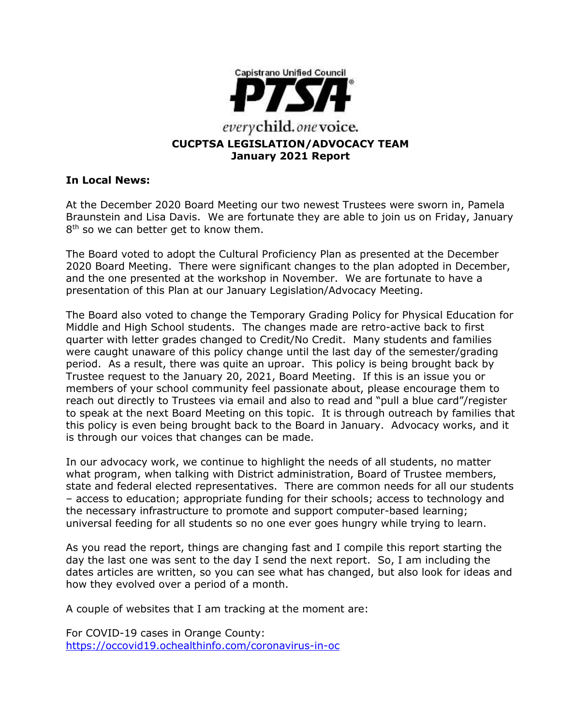

# **In Local News:**

At the December 2020 Board Meeting our two newest Trustees were sworn in, Pamela Braunstein and Lisa Davis. We are fortunate they are able to join us on Friday, January 8<sup>th</sup> so we can better get to know them.

The Board voted to adopt the Cultural Proficiency Plan as presented at the December 2020 Board Meeting. There were significant changes to the plan adopted in December, and the one presented at the workshop in November. We are fortunate to have a presentation of this Plan at our January Legislation/Advocacy Meeting.

The Board also voted to change the Temporary Grading Policy for Physical Education for Middle and High School students. The changes made are retro-active back to first quarter with letter grades changed to Credit/No Credit. Many students and families were caught unaware of this policy change until the last day of the semester/grading period. As a result, there was quite an uproar. This policy is being brought back by Trustee request to the January 20, 2021, Board Meeting. If this is an issue you or members of your school community feel passionate about, please encourage them to reach out directly to Trustees via email and also to read and "pull a blue card"/register to speak at the next Board Meeting on this topic. It is through outreach by families that this policy is even being brought back to the Board in January. Advocacy works, and it is through our voices that changes can be made.

In our advocacy work, we continue to highlight the needs of all students, no matter what program, when talking with District administration, Board of Trustee members, state and federal elected representatives. There are common needs for all our students – access to education; appropriate funding for their schools; access to technology and the necessary infrastructure to promote and support computer-based learning; universal feeding for all students so no one ever goes hungry while trying to learn.

As you read the report, things are changing fast and I compile this report starting the day the last one was sent to the day I send the next report. So, I am including the dates articles are written, so you can see what has changed, but also look for ideas and how they evolved over a period of a month.

A couple of websites that I am tracking at the moment are:

For COVID-19 cases in Orange County: <https://occovid19.ochealthinfo.com/coronavirus-in-oc>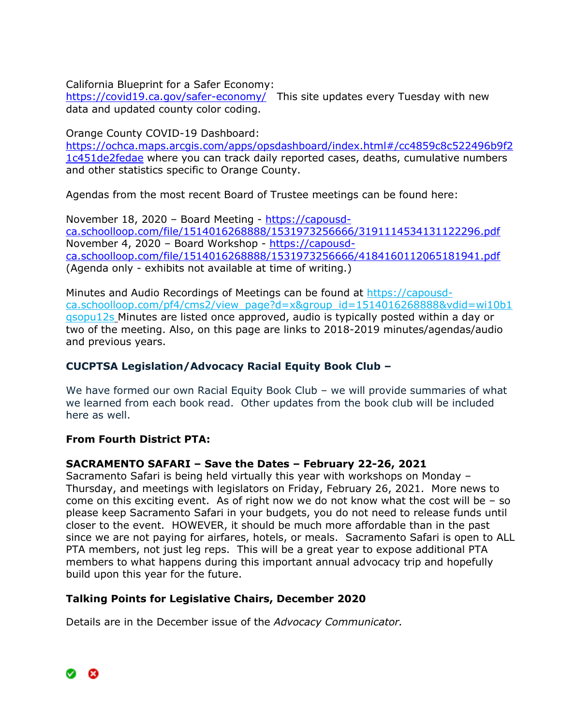California Blueprint for a Safer Economy:

<https://covid19.ca.gov/safer-economy/>This site updates every Tuesday with new data and updated county color coding.

Orange County COVID-19 Dashboard:

[https://ochca.maps.arcgis.com/apps/opsdashboard/index.html#/cc4859c8c522496b9f2](https://ochca.maps.arcgis.com/apps/opsdashboard/index.html#/cc4859c8c522496b9f21c451de2fedae) [1c451de2fedae](https://ochca.maps.arcgis.com/apps/opsdashboard/index.html#/cc4859c8c522496b9f21c451de2fedae) where you can track daily reported cases, deaths, cumulative numbers and other statistics specific to Orange County.

Agendas from the most recent Board of Trustee meetings can be found here:

November 18, 2020 – Board Meeting - [https://capousd](https://capousd-ca.schoolloop.com/file/1514016268888/1531973256666/3191114534131122296.pdf)[ca.schoolloop.com/file/1514016268888/1531973256666/3191114534131122296.pdf](https://capousd-ca.schoolloop.com/file/1514016268888/1531973256666/3191114534131122296.pdf) November 4, 2020 – Board Workshop - [https://capousd](https://capousd-ca.schoolloop.com/file/1514016268888/1531973256666/4184160112065181941.pdf)[ca.schoolloop.com/file/1514016268888/1531973256666/4184160112065181941.pdf](https://capousd-ca.schoolloop.com/file/1514016268888/1531973256666/4184160112065181941.pdf) (Agenda only - exhibits not available at time of writing.)

Minutes and Audio Recordings of Meetings can be found at [https://capousd](https://capousd-ca.schoolloop.com/pf4/cms2/view_page?d=x&group_id=1514016268888&vdid=wi10b1qsopu12s)[ca.schoolloop.com/pf4/cms2/view\\_page?d=x&group\\_id=1514016268888&vdid=wi10b1](https://capousd-ca.schoolloop.com/pf4/cms2/view_page?d=x&group_id=1514016268888&vdid=wi10b1qsopu12s) [qsopu12s](https://capousd-ca.schoolloop.com/pf4/cms2/view_page?d=x&group_id=1514016268888&vdid=wi10b1qsopu12s) Minutes are listed once approved, audio is typically posted within a day or two of the meeting. Also, on this page are links to 2018-2019 minutes/agendas/audio and previous years.

# **CUCPTSA Legislation/Advocacy Racial Equity Book Club –**

We have formed our own Racial Equity Book Club – we will provide summaries of what we learned from each book read. Other updates from the book club will be included here as well.

# **From Fourth District PTA:**

# **SACRAMENTO SAFARI – Save the Dates – February 22-26, 2021**

Sacramento Safari is being held virtually this year with workshops on Monday – Thursday, and meetings with legislators on Friday, February 26, 2021. More news to come on this exciting event. As of right now we do not know what the cost will be  $-$  so please keep Sacramento Safari in your budgets, you do not need to release funds until closer to the event. HOWEVER, it should be much more affordable than in the past since we are not paying for airfares, hotels, or meals. Sacramento Safari is open to ALL PTA members, not just leg reps. This will be a great year to expose additional PTA members to what happens during this important annual advocacy trip and hopefully build upon this year for the future.

# **Talking Points for Legislative Chairs, December 2020**

Details are in the December issue of the *Advocacy Communicator.*

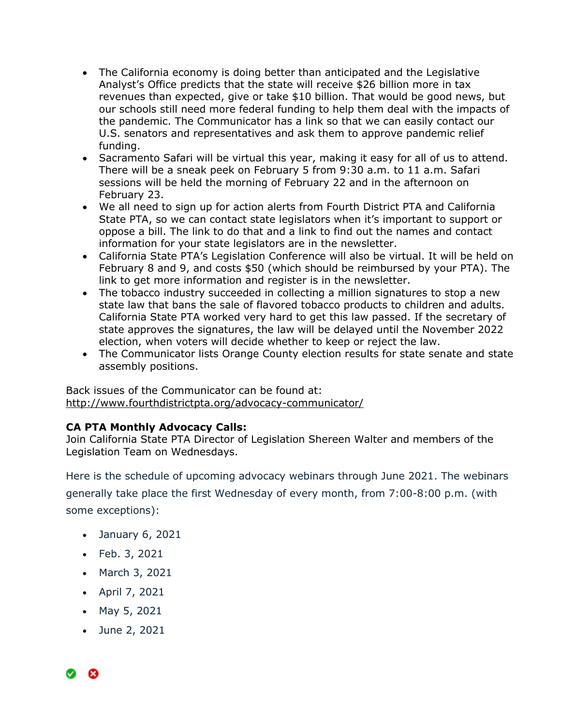- The California economy is doing better than anticipated and the Legislative Analyst's Office predicts that the state will receive \$26 billion more in tax revenues than expected, give or take \$10 billion. That would be good news, but our schools still need more federal funding to help them deal with the impacts of the pandemic. The Communicator has a link so that we can easily contact our U.S. senators and representatives and ask them to approve pandemic relief funding.
- Sacramento Safari will be virtual this year, making it easy for all of us to attend. There will be a sneak peek on February 5 from 9:30 a.m. to 11 a.m. Safari sessions will be held the morning of February 22 and in the afternoon on February 23.
- We all need to sign up for action alerts from Fourth District PTA and California State PTA, so we can contact state legislators when it's important to support or oppose a bill. The link to do that and a link to find out the names and contact information for your state legislators are in the newsletter.
- California State PTA's Legislation Conference will also be virtual. It will be held on February 8 and 9, and costs \$50 (which should be reimbursed by your PTA). The link to get more information and register is in the newsletter.
- The tobacco industry succeeded in collecting a million signatures to stop a new state law that bans the sale of flavored tobacco products to children and adults. California State PTA worked very hard to get this law passed. If the secretary of state approves the signatures, the law will be delayed until the November 2022 election, when voters will decide whether to keep or reject the law.
- The Communicator lists Orange County election results for state senate and state assembly positions.

Back issues of the Communicator can be found at: <http://www.fourthdistrictpta.org/advocacy-communicator/>

# **CA PTA Monthly Advocacy Calls:**

Join California State PTA Director of Legislation Shereen Walter and members of the Legislation Team on Wednesdays.

Here is the schedule of upcoming advocacy webinars through June 2021. The webinars generally take place the first Wednesday of every month, from 7:00-8:00 p.m. (with some exceptions):

- January 6, 2021
- Feb. 3, 2021
- March 3, 2021
- April 7, 2021
- May 5, 2021
- June 2, 2021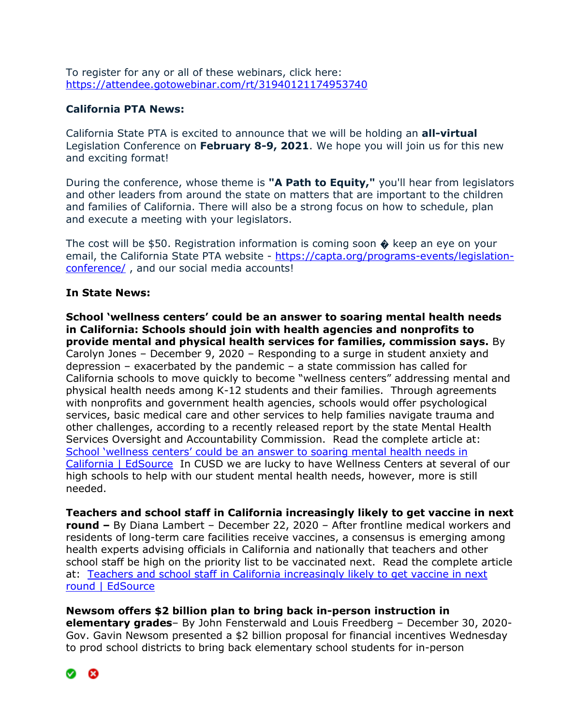To register for any or all of these webinars, click here: [https://attendee.gotowebinar.com/rt/31940121174953740](http://capta.bmetrack.com/c/l?u=AB6FF6E&e=10CEA9F&c=4592C&t=0&l=2971D61A&email=TepeYfBsuqqthho6K9B9EXzBjzlZ2TJR&seq=1)

## **California PTA News:**

California State PTA is excited to announce that we will be holding an **all-virtual** Legislation Conference on **February 8-9, 2021**. We hope you will join us for this new and exciting format!

During the conference, whose theme is **"A Path to Equity,"** you'll hear from legislators and other leaders from around the state on matters that are important to the children and families of California. There will also be a strong focus on how to schedule, plan and execute a meeting with your legislators.

The cost will be \$50. Registration information is coming soon  $\triangle$  keep an eye on your email, the California State PTA website - [https://capta.org/programs-events/legislation](https://capta.org/programs-events/legislation-conference/)[conference/](https://capta.org/programs-events/legislation-conference/) , and our social media accounts!

#### **In State News:**

**School 'wellness centers' could be an answer to soaring mental health needs in California: Schools should join with health agencies and nonprofits to provide mental and physical health services for families, commission says.** By Carolyn Jones – December 9, 2020 – Responding to a surge in student anxiety and depression – exacerbated by the pandemic – a state commission has called for California schools to move quickly to become "wellness centers" addressing mental and physical health needs among K-12 students and their families. Through agreements with nonprofits and government health agencies, schools would offer psychological services, basic medical care and other services to help families navigate trauma and other challenges, according to a recently released report by the state Mental Health Services Oversight and Accountability Commission. Read the complete article at: [School 'wellness centers' could be an answer to soaring mental health needs in](https://edsource.org/2020/school-wellness-centers-could-be-an-answer-to-soaring-mental-health-needs-in-california/)  [California | EdSource](https://edsource.org/2020/school-wellness-centers-could-be-an-answer-to-soaring-mental-health-needs-in-california/) In CUSD we are lucky to have Wellness Centers at several of our high schools to help with our student mental health needs, however, more is still needed.

**Teachers and school staff in California increasingly likely to get vaccine in next round –** By Diana Lambert – December 22, 2020 – After frontline medical workers and residents of long-term care facilities receive vaccines, a consensus is emerging among health experts advising officials in California and nationally that teachers and other school staff be high on the priority list to be vaccinated next. Read the complete article at: [Teachers and school staff in California increasingly likely to get vaccine in next](https://edsource.org/2020/teachers-and-school-staff-in-california-increasingly-likely-to-get-vaccine-in-next-round/)  [round | EdSource](https://edsource.org/2020/teachers-and-school-staff-in-california-increasingly-likely-to-get-vaccine-in-next-round/)

**Newsom offers \$2 billion plan to bring back in-person instruction in elementary grades**– By John Fensterwald and Louis Freedberg – December 30, 2020- Gov. Gavin Newsom presented a \$2 billion proposal for financial incentives Wednesday to prod school districts to bring back elementary school students for in-person

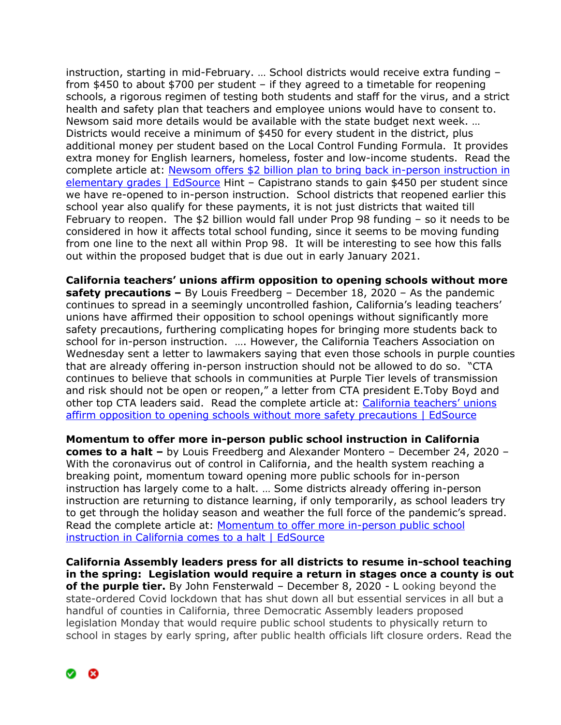instruction, starting in mid-February. … School districts would receive extra funding – from \$450 to about \$700 per student – if they agreed to a timetable for reopening schools, a rigorous regimen of testing both students and staff for the virus, and a strict health and safety plan that teachers and employee unions would have to consent to. Newsom said more details would be available with the state budget next week. … Districts would receive a minimum of \$450 for every student in the district, plus additional money per student based on the Local Control Funding Formula. It provides extra money for English learners, homeless, foster and low-income students. Read the complete article at: [Newsom offers \\$2 billion plan to bring back in-person instruction in](https://edsource.org/2020/newsom-to-announce-plan-to-encourage-in-person-instruction-in-elementary-grades/)  [elementary grades | EdSource](https://edsource.org/2020/newsom-to-announce-plan-to-encourage-in-person-instruction-in-elementary-grades/) Hint – Capistrano stands to gain \$450 per student since we have re-opened to in-person instruction. School districts that reopened earlier this school year also qualify for these payments, it is not just districts that waited till February to reopen. The \$2 billion would fall under Prop 98 funding – so it needs to be considered in how it affects total school funding, since it seems to be moving funding from one line to the next all within Prop 98. It will be interesting to see how this falls out within the proposed budget that is due out in early January 2021.

**California teachers' unions affirm opposition to opening schools without more safety precautions –** By Louis Freedberg – December 18, 2020 – As the pandemic continues to spread in a seemingly uncontrolled fashion, California's leading teachers' unions have affirmed their opposition to school openings without significantly more safety precautions, furthering complicating hopes for bringing more students back to school for in-person instruction. …. However, the California Teachers Association on Wednesday sent a letter to lawmakers saying that even those schools in purple counties that are already offering in-person instruction should not be allowed to do so. "CTA continues to believe that schools in communities at Purple Tier levels of transmission and risk should not be open or reopen," a letter from CTA president E.Toby Boyd and other top CTA leaders said. Read the complete article at: [California teachers' unions](https://edsource.org/2020/california-teachers-unions-affirm-opposition-to-opening-schools-without-more-safety-precautions/)  [affirm opposition to opening schools without more safety precautions | EdSource](https://edsource.org/2020/california-teachers-unions-affirm-opposition-to-opening-schools-without-more-safety-precautions/)

**Momentum to offer more in-person public school instruction in California comes to a halt –** by Louis Freedberg and Alexander Montero – December 24, 2020 – With the coronavirus out of control in California, and the health system reaching a breaking point, momentum toward opening more public schools for in-person instruction has largely come to a halt. … Some districts already offering in-person instruction are returning to distance learning, if only temporarily, as school leaders try to get through the holiday season and weather the full force of the pandemic's spread. Read the complete article at: [Momentum to offer more in-person public school](https://edsource.org/2020/momentum-to-offer-in-person-public-school-instruction-in-california-comes-to-a-halt/)  [instruction in California comes to a halt | EdSource](https://edsource.org/2020/momentum-to-offer-in-person-public-school-instruction-in-california-comes-to-a-halt/)

**California Assembly leaders press for all districts to resume in-school teaching in the spring: Legislation would require a return in stages once a county is out of the purple tier.** By John Fensterwald – December 8, 2020 - L ooking beyond the state-ordered Covid lockdown that has shut down all but essential services in all but a handful of counties in California, three Democratic Assembly leaders proposed legislation Monday that would require public school students to physically return to school in stages by early spring, after public health officials lift closure orders. Read the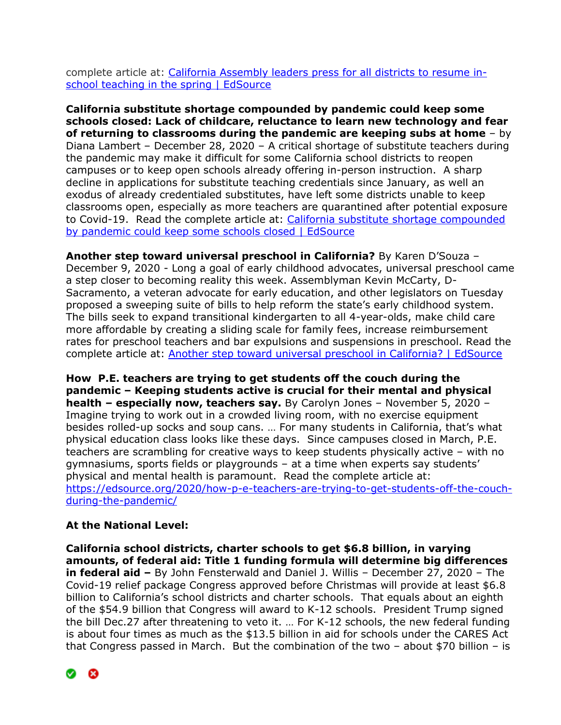complete article at: [California Assembly leaders press for all districts to resume in](https://edsource.org/2020/assembly-leaders-press-for-all-districts-to-resume-in-school-teaching-in-the-spring/)[school teaching in the spring | EdSource](https://edsource.org/2020/assembly-leaders-press-for-all-districts-to-resume-in-school-teaching-in-the-spring/)

**California substitute shortage compounded by pandemic could keep some schools closed: Lack of childcare, reluctance to learn new technology and fear of returning to classrooms during the pandemic are keeping subs at home** – by Diana Lambert – December 28, 2020 – A critical shortage of substitute teachers during the pandemic may make it difficult for some California school districts to reopen campuses or to keep open schools already offering in-person instruction. A sharp decline in applications for substitute teaching credentials since January, as well an exodus of already credentialed substitutes, have left some districts unable to keep classrooms open, especially as more teachers are quarantined after potential exposure to Covid-19. Read the complete article at: [California substitute shortage compounded](https://edsource.org/2020/california-substitute-shortage-compounded-by-pandemic-could-keep-some-schools-closed/)  [by pandemic could keep some schools closed | EdSource](https://edsource.org/2020/california-substitute-shortage-compounded-by-pandemic-could-keep-some-schools-closed/)

**Another step toward universal preschool in California?** By Karen D'Souza – December 9, 2020 - Long a goal of early childhood advocates, universal preschool came a step closer to becoming reality this week. Assemblyman Kevin McCarty, D-Sacramento, a veteran advocate for early education, and other legislators on Tuesday proposed a sweeping suite of bills to help reform the state's early childhood system. The bills seek to expand transitional kindergarten to all 4-year-olds, make child care more affordable by creating a sliding scale for family fees, increase reimbursement rates for preschool teachers and bar expulsions and suspensions in preschool. Read the complete article at: [Another step toward universal preschool in California? | EdSource](https://edsource.org/2020/another-step-toward-universal-preschool-in-california/)

**How P.E. teachers are trying to get students off the couch during the pandemic – Keeping students active is crucial for their mental and physical health – especially now, teachers say.** By Carolyn Jones – November 5, 2020 – Imagine trying to work out in a crowded living room, with no exercise equipment besides rolled-up socks and soup cans. … For many students in California, that's what physical education class looks like these days. Since campuses closed in March, P.E. teachers are scrambling for creative ways to keep students physically active – with no gymnasiums, sports fields or playgrounds – at a time when experts say students' physical and mental health is paramount. Read the complete article at: [https://edsource.org/2020/how-p-e-teachers-are-trying-to-get-students-off-the-couch](https://edsource.org/2020/how-p-e-teachers-are-trying-to-get-students-off-the-couch-during-the-pandemic/)[during-the-pandemic/](https://edsource.org/2020/how-p-e-teachers-are-trying-to-get-students-off-the-couch-during-the-pandemic/)

# **At the National Level:**

**California school districts, charter schools to get \$6.8 billion, in varying amounts, of federal aid: Title 1 funding formula will determine big differences in federal aid –** By John Fensterwald and Daniel J. Willis – December 27, 2020 – The Covid-19 relief package Congress approved before Christmas will provide at least \$6.8 billion to California's school districts and charter schools. That equals about an eighth of the \$54.9 billion that Congress will award to K-12 schools. President Trump signed the bill Dec.27 after threatening to veto it. … For K-12 schools, the new federal funding is about four times as much as the \$13.5 billion in aid for schools under the CARES Act that Congress passed in March. But the combination of the two – about \$70 billion – is

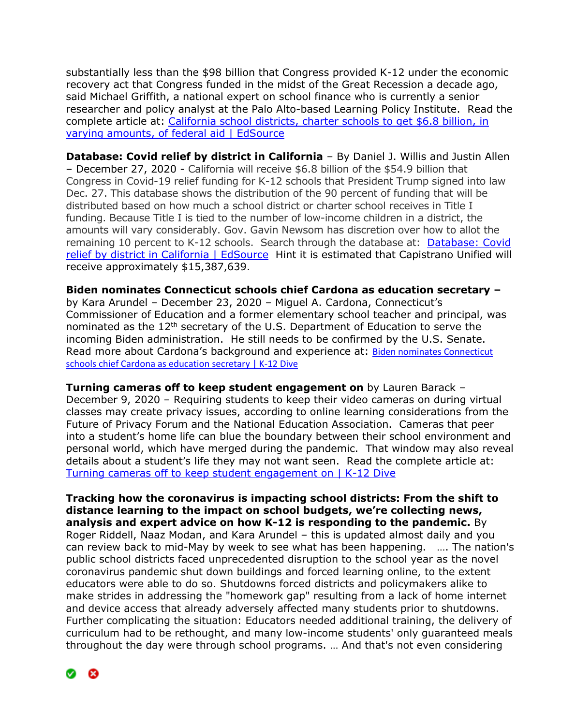substantially less than the \$98 billion that Congress provided K-12 under the economic recovery act that Congress funded in the midst of the Great Recession a decade ago, said Michael Griffith, a national expert on school finance who is currently a senior researcher and policy analyst at the Palo Alto-based Learning Policy Institute. Read the complete article at: [California school districts, charter schools to get \\$6.8 billion, in](https://edsource.org/2020/california-school-districts-charter-schools-to-get-6-8-billion-in-varying-amounts-of-federal-aid/)  [varying amounts, of federal aid | EdSource](https://edsource.org/2020/california-school-districts-charter-schools-to-get-6-8-billion-in-varying-amounts-of-federal-aid/)

**Database: Covid relief by district in California** – By Daniel J. Willis and Justin Allen – December 27, 2020 - California will receive \$6.8 billion of the \$54.9 billion that Congress in Covid-19 relief funding for K-12 schools that President Trump signed into law Dec. 27. This database shows the distribution of the 90 percent of funding that will be distributed based on how much a school district or charter school receives in Title I funding. Because Title I is tied to the number of low-income children in a district, the amounts will vary considerably. Gov. Gavin Newsom has discretion over how to allot the remaining 10 percent to K-12 schools. Search through the database at: [Database: Covid](https://edsource.org/2020/covid-relief-by-district-in-california/)  [relief by district in California | EdSource](https://edsource.org/2020/covid-relief-by-district-in-california/) Hint it is estimated that Capistrano Unified will receive approximately \$15,387,639.

**Biden nominates Connecticut schools chief Cardona as education secretary –**

by Kara Arundel – December 23, 2020 – Miguel A. Cardona, Connecticut's Commissioner of Education and a former elementary school teacher and principal, was nominated as the 12<sup>th</sup> secretary of the U.S. Department of Education to serve the incoming Biden administration. He still needs to be confirmed by the U.S. Senate. Read more about Cardona's background and experience at: Biden nominates Connecticut [schools chief Cardona as education secretary | K-12 Dive](https://www.k12dive.com/news/biden-set-to-nominate-cardona-experienced-educator-as-secretary-of-ed/)

**Turning cameras off to keep student engagement on** by Lauren Barack – December 9, 2020 – Requiring students to keep their video cameras on during virtual classes may create privacy issues, according to online learning considerations from the Future of Privacy Forum and the National Education Association. Cameras that peer into a student's home life can blue the boundary between their school environment and personal world, which have merged during the pandemic. That window may also reveal details about a student's life they may not want seen. Read the complete article at: [Turning cameras off to keep student engagement on | K-12 Dive](https://www.k12dive.com/news/turning-cameras-off-to-keep-student-engagement-on/)

**Tracking how the coronavirus is impacting school districts: From the shift to distance learning to the impact on school budgets, we're collecting news, analysis and expert advice on how K-12 is responding to the pandemic.** By Roger Riddell, Naaz Modan, and Kara Arundel – this is updated almost daily and you can review back to mid-May by week to see what has been happening. …. The nation's public school districts faced unprecedented disruption to the school year as the novel coronavirus pandemic shut down buildings and forced learning online, to the extent educators were able to do so. Shutdowns forced districts and policymakers alike to make strides in addressing the "homework gap" resulting from a lack of home internet and device access that already adversely affected many students prior to shutdowns. Further complicating the situation: Educators needed additional training, the delivery of curriculum had to be rethought, and many low-income students' only guaranteed meals throughout the day were through school programs. … And that's not even considering